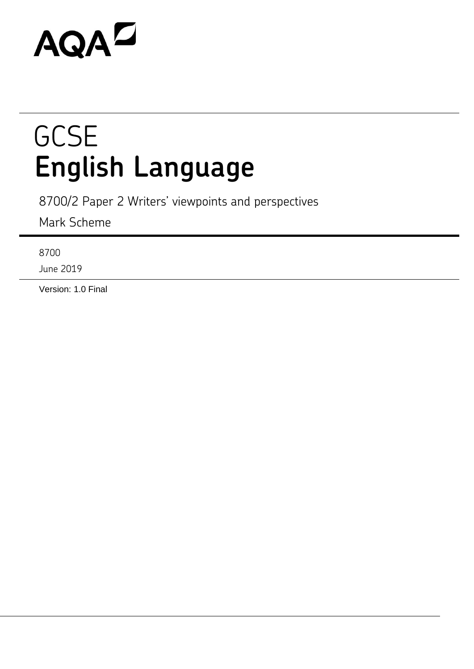# AQAZ

## **GCSE English Language**

8700/2 Paper 2 Writers' viewpoints and perspectives

Mark Scheme

8700

June 2019

Version: 1.0 Final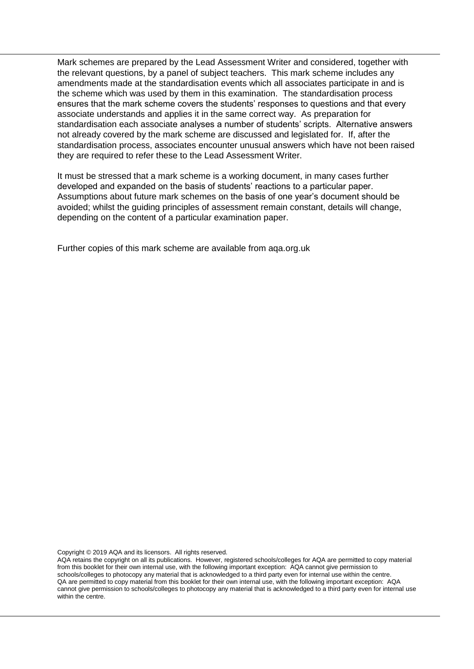Mark schemes are prepared by the Lead Assessment Writer and considered, together with the relevant questions, by a panel of subject teachers. This mark scheme includes any amendments made at the standardisation events which all associates participate in and is the scheme which was used by them in this examination. The standardisation process ensures that the mark scheme covers the students' responses to questions and that every associate understands and applies it in the same correct way. As preparation for standardisation each associate analyses a number of students' scripts. Alternative answers not already covered by the mark scheme are discussed and legislated for. If, after the standardisation process, associates encounter unusual answers which have not been raised they are required to refer these to the Lead Assessment Writer.

It must be stressed that a mark scheme is a working document, in many cases further developed and expanded on the basis of students' reactions to a particular paper. Assumptions about future mark schemes on the basis of one year's document should be avoided; whilst the guiding principles of assessment remain constant, details will change, depending on the content of a particular examination paper.

Further copies of this mark scheme are available from aqa.org.uk

Copyright © 2019 AQA and its licensors. All rights reserved.

AQA retains the copyright on all its publications. However, registered schools/colleges for AQA are permitted to copy material from this booklet for their own internal use, with the following important exception: AQA cannot give permission to schools/colleges to photocopy any material that is acknowledged to a third party even for internal use within the centre. QA are permitted to copy material from this booklet for their own internal use, with the following important exception: AQA cannot give permission to schools/colleges to photocopy any material that is acknowledged to a third party even for internal use within the centre.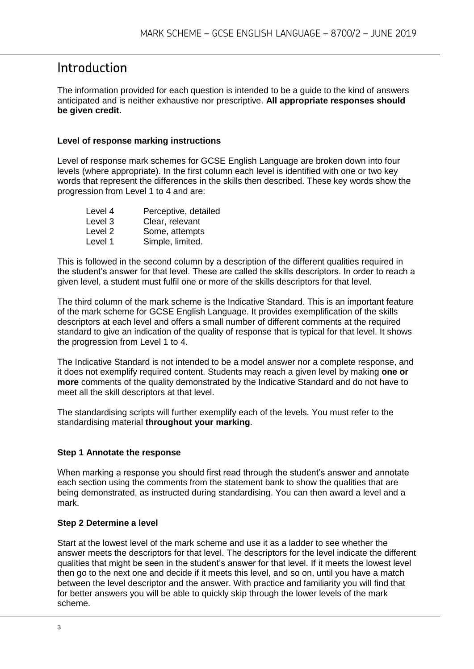## Introduction

The information provided for each question is intended to be a guide to the kind of answers anticipated and is neither exhaustive nor prescriptive. **All appropriate responses should be given credit.** 

#### **Level of response marking instructions**

Level of response mark schemes for GCSE English Language are broken down into four levels (where appropriate). In the first column each level is identified with one or two key words that represent the differences in the skills then described. These key words show the progression from Level 1 to 4 and are:

| Level 4            | Perceptive, detailed |
|--------------------|----------------------|
| Level 3            | Clear, relevant      |
| Level <sub>2</sub> | Some, attempts       |
| Level 1            | Simple, limited.     |

This is followed in the second column by a description of the different qualities required in the student's answer for that level. These are called the skills descriptors. In order to reach a given level, a student must fulfil one or more of the skills descriptors for that level.

The third column of the mark scheme is the Indicative Standard. This is an important feature of the mark scheme for GCSE English Language. It provides exemplification of the skills descriptors at each level and offers a small number of different comments at the required standard to give an indication of the quality of response that is typical for that level. It shows the progression from Level 1 to 4.

The Indicative Standard is not intended to be a model answer nor a complete response, and it does not exemplify required content. Students may reach a given level by making **one or more** comments of the quality demonstrated by the Indicative Standard and do not have to meet all the skill descriptors at that level.

The standardising scripts will further exemplify each of the levels. You must refer to the standardising material **throughout your marking**.

#### **Step 1 Annotate the response**

When marking a response you should first read through the student's answer and annotate each section using the comments from the statement bank to show the qualities that are being demonstrated, as instructed during standardising. You can then award a level and a mark.

#### **Step 2 Determine a level**

Start at the lowest level of the mark scheme and use it as a ladder to see whether the answer meets the descriptors for that level. The descriptors for the level indicate the different qualities that might be seen in the student's answer for that level. If it meets the lowest level then go to the next one and decide if it meets this level, and so on, until you have a match between the level descriptor and the answer. With practice and familiarity you will find that for better answers you will be able to quickly skip through the lower levels of the mark scheme.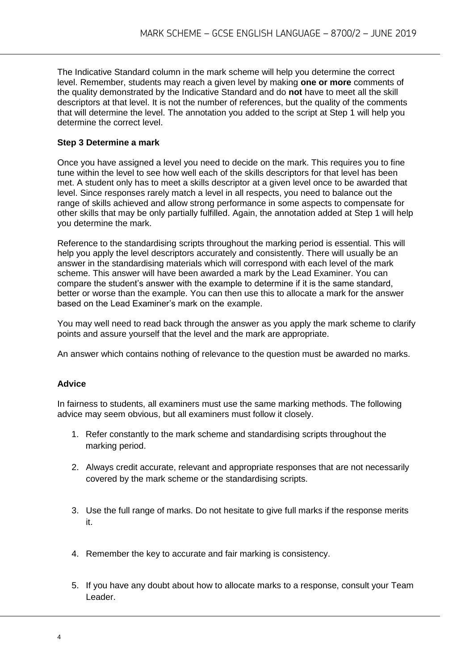The Indicative Standard column in the mark scheme will help you determine the correct level. Remember, students may reach a given level by making **one or more** comments of the quality demonstrated by the Indicative Standard and do **not** have to meet all the skill descriptors at that level. It is not the number of references, but the quality of the comments that will determine the level. The annotation you added to the script at Step 1 will help you determine the correct level.

#### **Step 3 Determine a mark**

Once you have assigned a level you need to decide on the mark. This requires you to fine tune within the level to see how well each of the skills descriptors for that level has been met. A student only has to meet a skills descriptor at a given level once to be awarded that level. Since responses rarely match a level in all respects, you need to balance out the range of skills achieved and allow strong performance in some aspects to compensate for other skills that may be only partially fulfilled. Again, the annotation added at Step 1 will help you determine the mark.

Reference to the standardising scripts throughout the marking period is essential. This will help you apply the level descriptors accurately and consistently. There will usually be an answer in the standardising materials which will correspond with each level of the mark scheme. This answer will have been awarded a mark by the Lead Examiner. You can compare the student's answer with the example to determine if it is the same standard, better or worse than the example. You can then use this to allocate a mark for the answer based on the Lead Examiner's mark on the example.

You may well need to read back through the answer as you apply the mark scheme to clarify points and assure yourself that the level and the mark are appropriate.

An answer which contains nothing of relevance to the question must be awarded no marks.

#### **Advice**

In fairness to students, all examiners must use the same marking methods. The following advice may seem obvious, but all examiners must follow it closely.

- 1. Refer constantly to the mark scheme and standardising scripts throughout the marking period.
- 2. Always credit accurate, relevant and appropriate responses that are not necessarily covered by the mark scheme or the standardising scripts.
- 3. Use the full range of marks. Do not hesitate to give full marks if the response merits it.
- 4. Remember the key to accurate and fair marking is consistency.
- 5. If you have any doubt about how to allocate marks to a response, consult your Team Leader.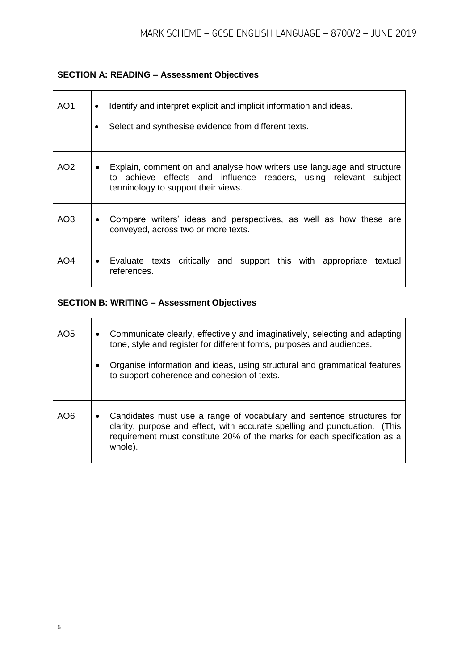#### **SECTION A: READING – Assessment Objectives**

| AO1 | Identify and interpret explicit and implicit information and ideas.<br>$\bullet$<br>Select and synthesise evidence from different texts.                                                       |
|-----|------------------------------------------------------------------------------------------------------------------------------------------------------------------------------------------------|
| AO2 | Explain, comment on and analyse how writers use language and structure<br>$\bullet$<br>to achieve effects and influence readers, using relevant subject<br>terminology to support their views. |
| AO3 | Compare writers' ideas and perspectives, as well as how these are<br>$\bullet$<br>conveyed, across two or more texts.                                                                          |
| AO4 | Evaluate texts critically and support this with appropriate textual<br>$\bullet$<br>references.                                                                                                |

### **SECTION B: WRITING – Assessment Objectives**

| AO <sub>5</sub> | $\bullet$<br>$\bullet$ | Communicate clearly, effectively and imaginatively, selecting and adapting<br>tone, style and register for different forms, purposes and audiences.<br>Organise information and ideas, using structural and grammatical features<br>to support coherence and cohesion of texts. |
|-----------------|------------------------|---------------------------------------------------------------------------------------------------------------------------------------------------------------------------------------------------------------------------------------------------------------------------------|
| AO6             | $\bullet$              | Candidates must use a range of vocabulary and sentence structures for<br>clarity, purpose and effect, with accurate spelling and punctuation. (This<br>requirement must constitute 20% of the marks for each specification as a<br>whole).                                      |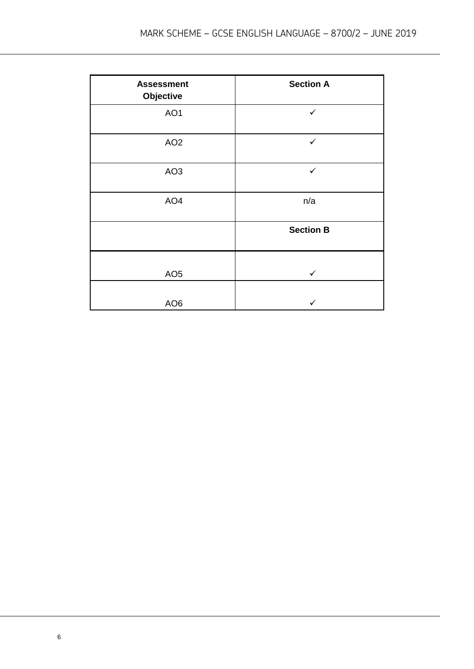| <b>Assessment</b><br>Objective | <b>Section A</b> |
|--------------------------------|------------------|
| AO <sub>1</sub>                | $\checkmark$     |
| AO <sub>2</sub>                | $\checkmark$     |
| AO <sub>3</sub>                | $\checkmark$     |
| AO <sub>4</sub>                | n/a              |
|                                | <b>Section B</b> |
| AO <sub>5</sub>                | $\checkmark$     |
| AO <sub>6</sub>                |                  |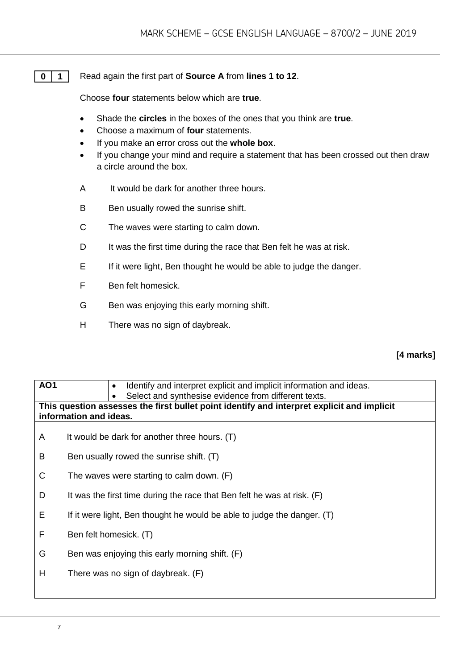#### **0 1** Read again the first part of **Source A** from **lines 1 to 12**.

Choose **four** statements below which are **true**.

- Shade the **circles** in the boxes of the ones that you think are **true**.
- Choose a maximum of **four** statements.
- If you make an error cross out the **whole box**.
- If you change your mind and require a statement that has been crossed out then draw a circle around the box.
- A It would be dark for another three hours.
- B Ben usually rowed the sunrise shift.
- C The waves were starting to calm down.
- D It was the first time during the race that Ben felt he was at risk.
- E If it were light, Ben thought he would be able to judge the danger.
- F Ben felt homesick.
- G Ben was enjoying this early morning shift.
- H There was no sign of daybreak.

#### **[4 marks]**

| <b>AO1</b> | Identify and interpret explicit and implicit information and ideas.<br>Select and synthesise evidence from different texts. |  |  |
|------------|-----------------------------------------------------------------------------------------------------------------------------|--|--|
|            | This question assesses the first bullet point identify and interpret explicit and implicit<br>information and ideas.        |  |  |
| A          | It would be dark for another three hours. (T)                                                                               |  |  |
| B          | Ben usually rowed the sunrise shift. (T)                                                                                    |  |  |
| C          | The waves were starting to calm down. $(F)$                                                                                 |  |  |
| D          | It was the first time during the race that Ben felt he was at risk. (F)                                                     |  |  |
| Е          | If it were light, Ben thought he would be able to judge the danger. (T)                                                     |  |  |
| F          | Ben felt homesick. (T)                                                                                                      |  |  |
| G          | Ben was enjoying this early morning shift. (F)                                                                              |  |  |
| H          | There was no sign of daybreak. (F)                                                                                          |  |  |
|            |                                                                                                                             |  |  |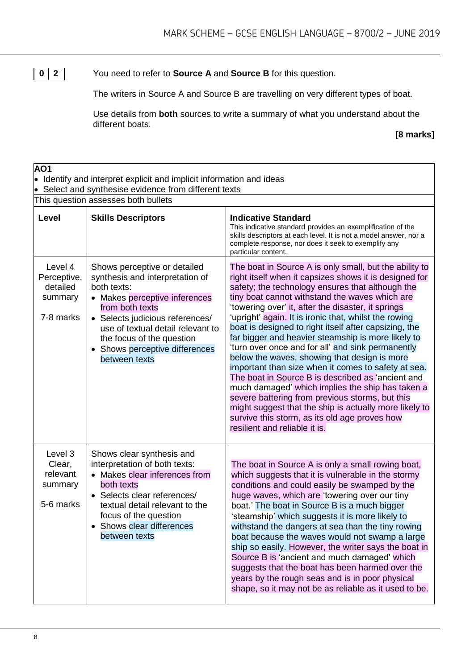**0 2** You need to refer to **Source A** and **Source B** for this question.

The writers in Source A and Source B are travelling on very different types of boat.

Use details from **both** sources to write a summary of what you understand about the different boats.

#### **[8 marks]**

| AO1                                                                                                     | $\bullet$ Identify and interpret explicit and implicit information and ideas                                                                                                                                                                                                               |                                                                                                                                                                                                                                                                                                                                                                                                                                                                                                                                                                                                                                                                                                                                                                                                                                                                                                                          |
|---------------------------------------------------------------------------------------------------------|--------------------------------------------------------------------------------------------------------------------------------------------------------------------------------------------------------------------------------------------------------------------------------------------|--------------------------------------------------------------------------------------------------------------------------------------------------------------------------------------------------------------------------------------------------------------------------------------------------------------------------------------------------------------------------------------------------------------------------------------------------------------------------------------------------------------------------------------------------------------------------------------------------------------------------------------------------------------------------------------------------------------------------------------------------------------------------------------------------------------------------------------------------------------------------------------------------------------------------|
| Select and synthesise evidence from different texts<br>$\bullet$<br>This question assesses both bullets |                                                                                                                                                                                                                                                                                            |                                                                                                                                                                                                                                                                                                                                                                                                                                                                                                                                                                                                                                                                                                                                                                                                                                                                                                                          |
| Level                                                                                                   | <b>Skills Descriptors</b>                                                                                                                                                                                                                                                                  | <b>Indicative Standard</b><br>This indicative standard provides an exemplification of the<br>skills descriptors at each level. It is not a model answer, nor a<br>complete response, nor does it seek to exemplify any<br>particular content.                                                                                                                                                                                                                                                                                                                                                                                                                                                                                                                                                                                                                                                                            |
| Level 4<br>Perceptive,<br>detailed<br>summary<br>7-8 marks                                              | Shows perceptive or detailed<br>synthesis and interpretation of<br>both texts:<br>• Makes perceptive inferences<br>from both texts<br>• Selects judicious references/<br>use of textual detail relevant to<br>the focus of the question<br>• Shows perceptive differences<br>between texts | The boat in Source A is only small, but the ability to<br>right itself when it capsizes shows it is designed for<br>safety; the technology ensures that although the<br>tiny boat cannot withstand the waves which are<br>'towering over' it, after the disaster, it springs<br>'upright' again. It is ironic that, whilst the rowing<br>boat is designed to right itself after capsizing, the<br>far bigger and heavier steamship is more likely to<br>'turn over once and for all' and sink permanently<br>below the waves, showing that design is more<br>important than size when it comes to safety at sea.<br>The boat in Source B is described as 'ancient and<br>much damaged' which implies the ship has taken a<br>severe battering from previous storms, but this<br>might suggest that the ship is actually more likely to<br>survive this storm, as its old age proves how<br>resilient and reliable it is. |
| Level 3<br>Clear,<br>relevant<br>summary<br>5-6 marks                                                   | Shows clear synthesis and<br>interpretation of both texts:<br>• Makes clear inferences from<br>both texts<br>• Selects clear references/<br>textual detail relevant to the<br>focus of the question<br>Shows clear differences<br>between texts                                            | The boat in Source A is only a small rowing boat,<br>which suggests that it is vulnerable in the stormy<br>conditions and could easily be swamped by the<br>huge waves, which are 'towering over our tiny<br>boat.' The boat in Source B is a much bigger<br>'steamship' which suggests it is more likely to<br>withstand the dangers at sea than the tiny rowing<br>boat because the waves would not swamp a large<br>ship so easily. However, the writer says the boat in<br>Source B is 'ancient and much damaged' which<br>suggests that the boat has been harmed over the<br>years by the rough seas and is in poor physical<br>shape, so it may not be as reliable as it used to be.                                                                                                                                                                                                                               |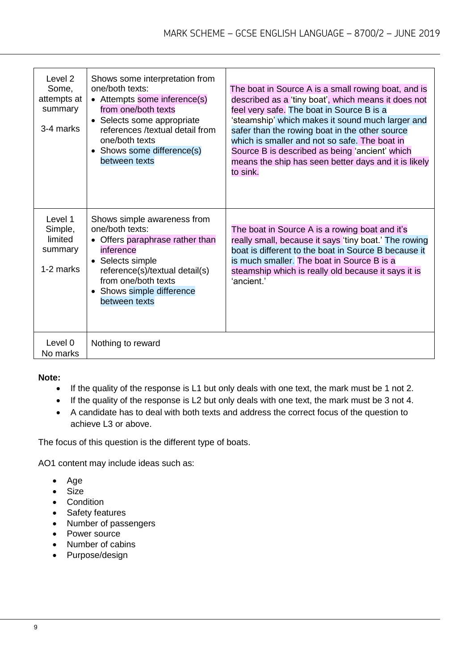| Level 2<br>Some,<br>attempts at<br>summary<br>3-4 marks | Shows some interpretation from<br>one/both texts:<br>• Attempts some inference(s)<br>from one/both texts<br>• Selects some appropriate<br>references /textual detail from<br>one/both texts<br>• Shows some difference(s)<br>between texts | The boat in Source A is a small rowing boat, and is<br>described as a 'tiny boat', which means it does not<br>feel very safe. The boat in Source B is a<br>'steamship' which makes it sound much larger and<br>safer than the rowing boat in the other source<br>which is smaller and not so safe. The boat in<br>Source B is described as being 'ancient' which<br>means the ship has seen better days and it is likely<br>to sink. |
|---------------------------------------------------------|--------------------------------------------------------------------------------------------------------------------------------------------------------------------------------------------------------------------------------------------|--------------------------------------------------------------------------------------------------------------------------------------------------------------------------------------------------------------------------------------------------------------------------------------------------------------------------------------------------------------------------------------------------------------------------------------|
| Level 1<br>Simple,<br>limited<br>summary<br>1-2 marks   | Shows simple awareness from<br>one/both texts:<br>Offers paraphrase rather than<br>inference<br>• Selects simple<br>reference(s)/textual detail(s)<br>from one/both texts<br>• Shows simple difference<br>between texts                    | The boat in Source A is a rowing boat and it's<br>really small, because it says 'tiny boat.' The rowing<br>boat is different to the boat in Source B because it<br>is much smaller. The boat in Source B is a<br>steamship which is really old because it says it is<br>'ancient.'                                                                                                                                                   |
| Level 0<br>No marks                                     | Nothing to reward                                                                                                                                                                                                                          |                                                                                                                                                                                                                                                                                                                                                                                                                                      |

#### **Note:**

- If the quality of the response is L1 but only deals with one text, the mark must be 1 not 2.
- If the quality of the response is L2 but only deals with one text, the mark must be 3 not 4.
- A candidate has to deal with both texts and address the correct focus of the question to achieve L3 or above.

The focus of this question is the different type of boats.

AO1 content may include ideas such as:

- Age
- Size
- Condition
- Safety features
- Number of passengers
- Power source
- Number of cabins
- Purpose/design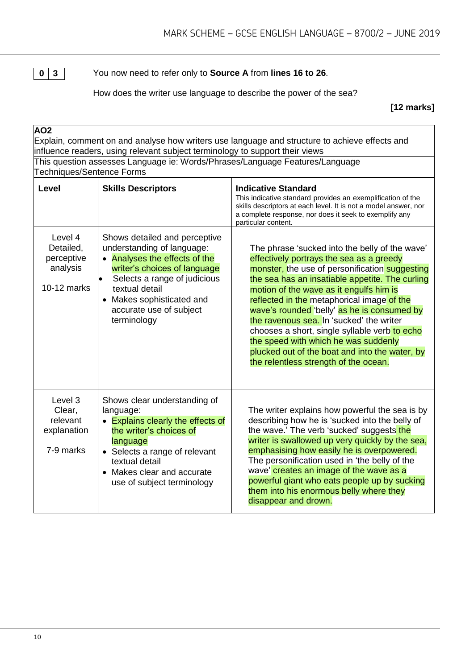

**0 3** You now need to refer only to **Source A** from **lines 16 to 26**.

How does the writer use language to describe the power of the sea?

**[12 marks]**

| AO <sub>2</sub>                                                                                           | influence readers, using relevant subject terminology to support their views                                                                                                                                                                          | Explain, comment on and analyse how writers use language and structure to achieve effects and                                                                                                                                                                                                                                                                                                                                                                                                                                                                           |
|-----------------------------------------------------------------------------------------------------------|-------------------------------------------------------------------------------------------------------------------------------------------------------------------------------------------------------------------------------------------------------|-------------------------------------------------------------------------------------------------------------------------------------------------------------------------------------------------------------------------------------------------------------------------------------------------------------------------------------------------------------------------------------------------------------------------------------------------------------------------------------------------------------------------------------------------------------------------|
| This question assesses Language ie: Words/Phrases/Language Features/Language<br>Techniques/Sentence Forms |                                                                                                                                                                                                                                                       |                                                                                                                                                                                                                                                                                                                                                                                                                                                                                                                                                                         |
| <b>Level</b>                                                                                              | <b>Skills Descriptors</b>                                                                                                                                                                                                                             | <b>Indicative Standard</b><br>This indicative standard provides an exemplification of the<br>skills descriptors at each level. It is not a model answer, nor<br>a complete response, nor does it seek to exemplify any<br>particular content.                                                                                                                                                                                                                                                                                                                           |
| Level 4<br>Detailed,<br>perceptive<br>analysis<br>10-12 marks                                             | Shows detailed and perceptive<br>understanding of language:<br>• Analyses the effects of the<br>writer's choices of language<br>Selects a range of judicious<br>textual detail<br>• Makes sophisticated and<br>accurate use of subject<br>terminology | The phrase 'sucked into the belly of the wave'<br>effectively portrays the sea as a greedy<br>monster, the use of personification suggesting<br>the sea has an insatiable appetite. The curling<br>motion of the wave as it engulfs him is<br>reflected in the metaphorical image of the<br>wave's rounded 'belly' as he is consumed by<br>the ravenous sea. In 'sucked' the writer<br>chooses a short, single syllable verb to echo<br>the speed with which he was suddenly<br>plucked out of the boat and into the water, by<br>the relentless strength of the ocean. |
| Level 3<br>Clear,<br>relevant<br>explanation<br>7-9 marks                                                 | Shows clear understanding of<br>language:<br>• Explains clearly the effects of<br>the writer's choices of<br>language<br>• Selects a range of relevant<br>textual detail<br>• Makes clear and accurate<br>use of subject terminology                  | The writer explains how powerful the sea is by<br>describing how he is 'sucked into the belly of<br>the wave.' The verb 'sucked' suggests the<br>writer is swallowed up very quickly by the sea,<br>emphasising how easily he is overpowered.<br>The personification used in 'the belly of the<br>wave' creates an image of the wave as a<br>powerful giant who eats people up by sucking<br>them into his enormous belly where they<br>disappear and drown.                                                                                                            |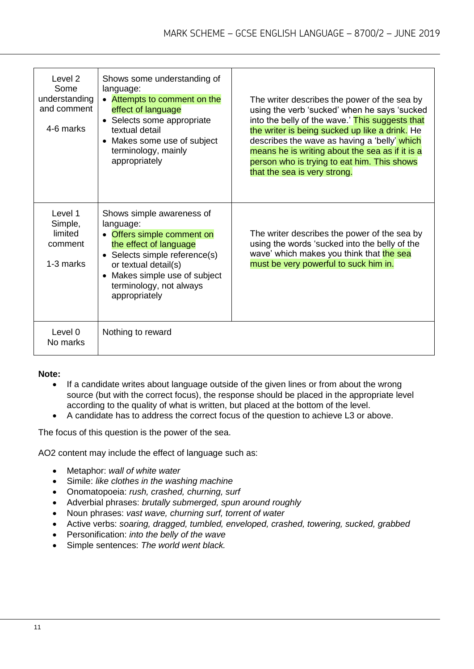| Level <sub>2</sub><br>Some<br>understanding<br>and comment<br>4-6 marks | Shows some understanding of<br>language:<br>• Attempts to comment on the<br>effect of language<br>• Selects some appropriate<br>textual detail<br>• Makes some use of subject<br>terminology, mainly<br>appropriately                | The writer describes the power of the sea by<br>using the verb 'sucked' when he says 'sucked<br>into the belly of the wave.' This suggests that<br>the writer is being sucked up like a drink. He<br>describes the wave as having a 'belly' which<br>means he is writing about the sea as if it is a<br>person who is trying to eat him. This shows<br>that the sea is very strong. |
|-------------------------------------------------------------------------|--------------------------------------------------------------------------------------------------------------------------------------------------------------------------------------------------------------------------------------|-------------------------------------------------------------------------------------------------------------------------------------------------------------------------------------------------------------------------------------------------------------------------------------------------------------------------------------------------------------------------------------|
| Level 1<br>Simple,<br>limited<br>comment<br>1-3 marks                   | Shows simple awareness of<br>language:<br>• Offers simple comment on<br>the effect of language<br>• Selects simple reference(s)<br>or textual detail(s)<br>• Makes simple use of subject<br>terminology, not always<br>appropriately | The writer describes the power of the sea by<br>using the words 'sucked into the belly of the<br>wave' which makes you think that the sea<br>must be very powerful to suck him in.                                                                                                                                                                                                  |
| Level 0<br>No marks                                                     | Nothing to reward                                                                                                                                                                                                                    |                                                                                                                                                                                                                                                                                                                                                                                     |

#### **Note:**

- If a candidate writes about language outside of the given lines or from about the wrong source (but with the correct focus), the response should be placed in the appropriate level according to the quality of what is written, but placed at the bottom of the level.
- A candidate has to address the correct focus of the question to achieve L3 or above.

The focus of this question is the power of the sea.

AO2 content may include the effect of language such as:

- Metaphor: *wall of white water*
- Simile: *like clothes in the washing machine*
- Onomatopoeia: *rush, crashed, churning, surf*
- Adverbial phrases: *brutally submerged, spun around roughly*
- Noun phrases: *vast wave, churning surf, torrent of water*
- Active verbs: *soaring, dragged, tumbled, enveloped, crashed, towering, sucked, grabbed*
- Personification: *into the belly of the wave*
- Simple sentences: *The world went black.*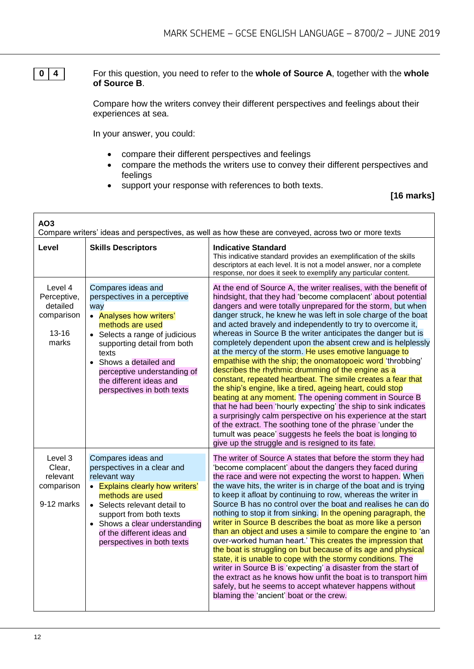**0 4** For this question, you need to refer to the **whole of Source A**, together with the **whole of Source B**.

> Compare how the writers convey their different perspectives and feelings about their experiences at sea.

In your answer, you could:

- compare their different perspectives and feelings
- compare the methods the writers use to convey their different perspectives and feelings
- support your response with references to both texts.

#### **[16 marks]**

| AO <sub>3</sub><br>Compare writers' ideas and perspectives, as well as how these are conveyed, across two or more texts |                                                                                                                                                                                                                                                                                                      |                                                                                                                                                                                                                                                                                                                                                                                                                                                                                                                                                                                                                                                                                                                                                                                                                                                                                                                                                                                                                                                                                                                                                         |
|-------------------------------------------------------------------------------------------------------------------------|------------------------------------------------------------------------------------------------------------------------------------------------------------------------------------------------------------------------------------------------------------------------------------------------------|---------------------------------------------------------------------------------------------------------------------------------------------------------------------------------------------------------------------------------------------------------------------------------------------------------------------------------------------------------------------------------------------------------------------------------------------------------------------------------------------------------------------------------------------------------------------------------------------------------------------------------------------------------------------------------------------------------------------------------------------------------------------------------------------------------------------------------------------------------------------------------------------------------------------------------------------------------------------------------------------------------------------------------------------------------------------------------------------------------------------------------------------------------|
| Level                                                                                                                   | <b>Skills Descriptors</b>                                                                                                                                                                                                                                                                            | <b>Indicative Standard</b><br>This indicative standard provides an exemplification of the skills<br>descriptors at each level. It is not a model answer, nor a complete<br>response, nor does it seek to exemplify any particular content.                                                                                                                                                                                                                                                                                                                                                                                                                                                                                                                                                                                                                                                                                                                                                                                                                                                                                                              |
| Level 4<br>Perceptive,<br>detailed<br>comparison<br>$13 - 16$<br>marks                                                  | Compares ideas and<br>perspectives in a perceptive<br>way<br>• Analyses how writers'<br>methods are used<br>• Selects a range of judicious<br>supporting detail from both<br>texts<br>• Shows a detailed and<br>perceptive understanding of<br>the different ideas and<br>perspectives in both texts | At the end of Source A, the writer realises, with the benefit of<br>hindsight, that they had 'become complacent' about potential<br>dangers and were totally unprepared for the storm, but when<br>danger struck, he knew he was left in sole charge of the boat<br>and acted bravely and independently to try to overcome it,<br>whereas in Source B the writer anticipates the danger but is<br>completely dependent upon the absent crew and is helplessly<br>at the mercy of the storm. He uses emotive language to<br>empathise with the ship; the onomatopoeic word 'throbbing'<br>describes the rhythmic drumming of the engine as a<br>constant, repeated heartbeat. The simile creates a fear that<br>the ship's engine, like a tired, ageing heart, could stop<br>beating at any moment. The opening comment in Source B<br>that he had been 'hourly expecting' the ship to sink indicates<br>a surprisingly calm perspective on his experience at the start<br>of the extract. The soothing tone of the phrase 'under the<br>tumult was peace' suggests he feels the boat is longing to<br>give up the struggle and is resigned to its fate. |
| Level 3<br>Clear,<br>relevant<br>comparison<br>9-12 marks                                                               | Compares ideas and<br>perspectives in a clear and<br>relevant way<br>• Explains clearly how writers'<br>methods are used<br>• Selects relevant detail to<br>support from both texts<br>• Shows a clear understanding<br>of the different ideas and<br>perspectives in both texts                     | The writer of Source A states that before the storm they had<br>'become complacent' about the dangers they faced during<br>the race and were not expecting the worst to happen. When<br>the wave hits, the writer is in charge of the boat and is trying<br>to keep it afloat by continuing to row, whereas the writer in<br>Source B has no control over the boat and realises he can do<br>nothing to stop it from sinking. In the opening paragraph, the<br>writer in Source B describes the boat as more like a person<br>than an object and uses a simile to compare the engine to 'an<br>over-worked human heart.' This creates the impression that<br>the boat is struggling on but because of its age and physical<br>state, it is unable to cope with the stormy conditions. The<br>writer in Source B is 'expecting' a disaster from the start of<br>the extract as he knows how unfit the boat is to transport him<br>safely, but he seems to accept whatever happens without<br>blaming the 'ancient' boat or the crew.                                                                                                                     |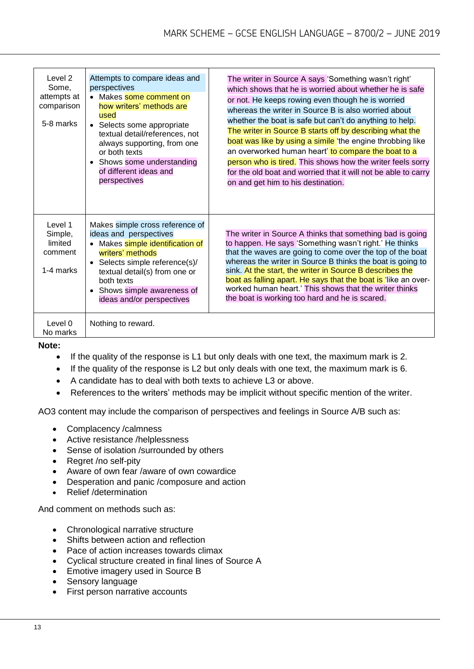| Level 2<br>Some,<br>attempts at<br>comparison<br>5-8 marks | Attempts to compare ideas and<br>perspectives<br>• Makes some comment on<br>how writers' methods are<br>used<br>• Selects some appropriate<br>textual detail/references, not<br>always supporting, from one<br>or both texts<br>• Shows some understanding<br>of different ideas and<br>perspectives | The writer in Source A says 'Something wasn't right'<br>which shows that he is worried about whether he is safe<br>or not. He keeps rowing even though he is worried<br>whereas the writer in Source B is also worried about<br>whether the boat is safe but can't do anything to help.<br>The writer in Source B starts off by describing what the<br>boat was like by using a simile 'the engine throbbing like<br>an overworked human heart' to compare the boat to a<br>person who is tired. This shows how the writer feels sorry<br>for the old boat and worried that it will not be able to carry<br>on and get him to his destination. |
|------------------------------------------------------------|------------------------------------------------------------------------------------------------------------------------------------------------------------------------------------------------------------------------------------------------------------------------------------------------------|------------------------------------------------------------------------------------------------------------------------------------------------------------------------------------------------------------------------------------------------------------------------------------------------------------------------------------------------------------------------------------------------------------------------------------------------------------------------------------------------------------------------------------------------------------------------------------------------------------------------------------------------|
| Level 1<br>Simple,<br>limited<br>comment<br>1-4 marks      | Makes simple cross reference of<br>ideas and perspectives<br>• Makes simple identification of<br>writers' methods<br>• Selects simple reference(s)/<br>textual detail(s) from one or<br>both texts<br>• Shows simple awareness of<br>ideas and/or perspectives                                       | The writer in Source A thinks that something bad is going<br>to happen. He says 'Something wasn't right.' He thinks<br>that the waves are going to come over the top of the boat<br>whereas the writer in Source B thinks the boat is going to<br>sink. At the start, the writer in Source B describes the<br>boat as falling apart. He says that the boat is 'like an over-<br>worked human heart.' This shows that the writer thinks<br>the boat is working too hard and he is scared.                                                                                                                                                       |
| Level 0<br>No marks                                        | Nothing to reward.                                                                                                                                                                                                                                                                                   |                                                                                                                                                                                                                                                                                                                                                                                                                                                                                                                                                                                                                                                |

#### **Note:**

- If the quality of the response is L1 but only deals with one text, the maximum mark is 2.
- If the quality of the response is L2 but only deals with one text, the maximum mark is 6.
- A candidate has to deal with both texts to achieve L3 or above.
- References to the writers' methods may be implicit without specific mention of the writer.

AO3 content may include the comparison of perspectives and feelings in Source A/B such as:

- Complacency /calmness
- Active resistance /helplessness
- Sense of isolation /surrounded by others
- Regret /no self-pity
- Aware of own fear /aware of own cowardice
- Desperation and panic / composure and action
- Relief /determination

And comment on methods such as:

- Chronological narrative structure
- Shifts between action and reflection
- Pace of action increases towards climax
- Cyclical structure created in final lines of Source A
- Emotive imagery used in Source B
- Sensory language
- First person narrative accounts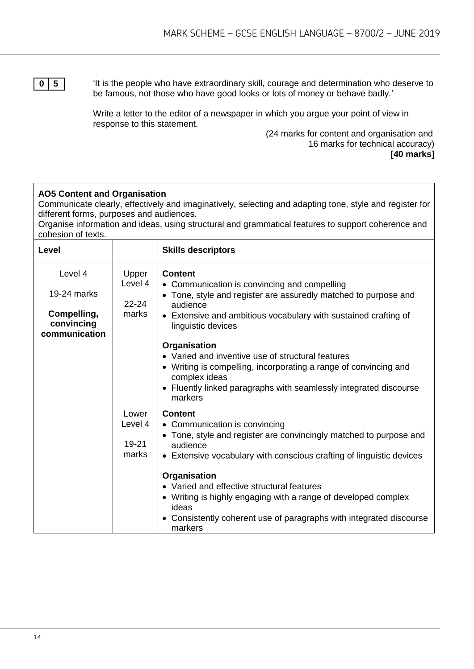**0 5**  $\blacksquare$  <sup>1</sup> 'It is the people who have extraordinary skill, courage and determination who deserve to be famous, not those who have good looks or lots of money or behave badly.'

> Write a letter to the editor of a newspaper in which you argue your point of view in response to this statement.

> > (24 marks for content and organisation and 16 marks for technical accuracy) **[40 marks]**

#### **AO5 Content and Organisation**

Communicate clearly, effectively and imaginatively, selecting and adapting tone, style and register for different forms, purposes and audiences.

Organise information and ideas, using structural and grammatical features to support coherence and cohesion of texts.

| Level                                                                |                                        | <b>Skills descriptors</b>                                                                                                                                                                                                                                                                                                                                                                                                                                                        |  |
|----------------------------------------------------------------------|----------------------------------------|----------------------------------------------------------------------------------------------------------------------------------------------------------------------------------------------------------------------------------------------------------------------------------------------------------------------------------------------------------------------------------------------------------------------------------------------------------------------------------|--|
| Level 4<br>19-24 marks<br>Compelling,<br>convincing<br>communication | Upper<br>Level 4<br>$22 - 24$<br>marks | <b>Content</b><br>• Communication is convincing and compelling<br>• Tone, style and register are assuredly matched to purpose and<br>audience<br>• Extensive and ambitious vocabulary with sustained crafting of<br>linguistic devices<br>Organisation<br>• Varied and inventive use of structural features<br>• Writing is compelling, incorporating a range of convincing and<br>complex ideas<br>• Fluently linked paragraphs with seamlessly integrated discourse<br>markers |  |
|                                                                      | Lower<br>Level 4<br>$19 - 21$<br>marks | <b>Content</b><br>• Communication is convincing<br>• Tone, style and register are convincingly matched to purpose and<br>audience<br>• Extensive vocabulary with conscious crafting of linguistic devices<br>Organisation<br>• Varied and effective structural features<br>• Writing is highly engaging with a range of developed complex<br>ideas<br>• Consistently coherent use of paragraphs with integrated discourse<br>markers                                             |  |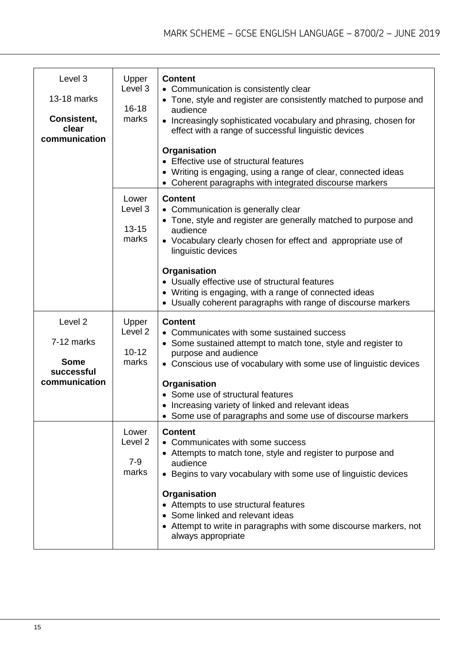| Level 3<br>13-18 marks<br>Consistent,<br>clear<br>communication                | Upper<br>Level <sub>3</sub><br>$16 - 18$<br>marks | <b>Content</b><br>• Communication is consistently clear<br>• Tone, style and register are consistently matched to purpose and<br>audience<br>• Increasingly sophisticated vocabulary and phrasing, chosen for<br>effect with a range of successful linguistic devices<br>Organisation<br>• Effective use of structural features<br>• Writing is engaging, using a range of clear, connected ideas<br>• Coherent paragraphs with integrated discourse markers |
|--------------------------------------------------------------------------------|---------------------------------------------------|--------------------------------------------------------------------------------------------------------------------------------------------------------------------------------------------------------------------------------------------------------------------------------------------------------------------------------------------------------------------------------------------------------------------------------------------------------------|
|                                                                                | Lower<br>Level 3<br>$13 - 15$<br>marks            | <b>Content</b><br>• Communication is generally clear<br>• Tone, style and register are generally matched to purpose and<br>audience<br>• Vocabulary clearly chosen for effect and appropriate use of<br>linguistic devices<br>Organisation<br>• Usually effective use of structural features<br>• Writing is engaging, with a range of connected ideas<br>• Usually coherent paragraphs with range of discourse markers                                      |
| Level <sub>2</sub><br>7-12 marks<br><b>Some</b><br>successful<br>communication | Upper<br>Level <sub>2</sub><br>$10 - 12$<br>marks | <b>Content</b><br>• Communicates with some sustained success<br>• Some sustained attempt to match tone, style and register to<br>purpose and audience<br>• Conscious use of vocabulary with some use of linguistic devices<br>Organisation<br>• Some use of structural features<br>Increasing variety of linked and relevant ideas<br>• Some use of paragraphs and some use of discourse markers                                                             |
|                                                                                | Lower<br>Level 2<br>$7 - 9$<br>marks              | <b>Content</b><br>• Communicates with some success<br>• Attempts to match tone, style and register to purpose and<br>audience<br>• Begins to vary vocabulary with some use of linguistic devices<br>Organisation<br>• Attempts to use structural features<br>• Some linked and relevant ideas<br>• Attempt to write in paragraphs with some discourse markers, not<br>always appropriate                                                                     |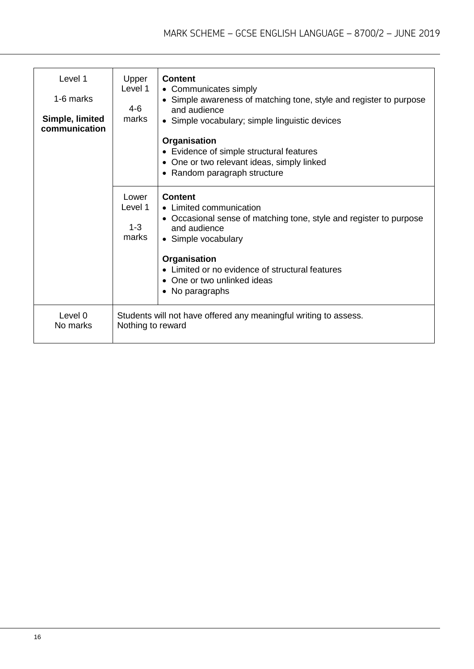| Level 1<br>1-6 marks<br>Simple, limited | Upper<br>Level 1<br>4-6<br>marks                                                      | <b>Content</b><br>• Communicates simply<br>• Simple awareness of matching tone, style and register to purpose<br>and audience<br>• Simple vocabulary; simple linguistic devices |
|-----------------------------------------|---------------------------------------------------------------------------------------|---------------------------------------------------------------------------------------------------------------------------------------------------------------------------------|
| communication                           |                                                                                       | Organisation<br>• Evidence of simple structural features<br>One or two relevant ideas, simply linked<br>• Random paragraph structure                                            |
|                                         | Lower<br>Level 1<br>$1 - 3$<br>marks                                                  | <b>Content</b><br>• Limited communication<br>• Occasional sense of matching tone, style and register to purpose<br>and audience<br>• Simple vocabulary                          |
|                                         |                                                                                       | Organisation<br>• Limited or no evidence of structural features<br>• One or two unlinked ideas<br>• No paragraphs                                                               |
| Level 0<br>No marks                     | Students will not have offered any meaningful writing to assess.<br>Nothing to reward |                                                                                                                                                                                 |